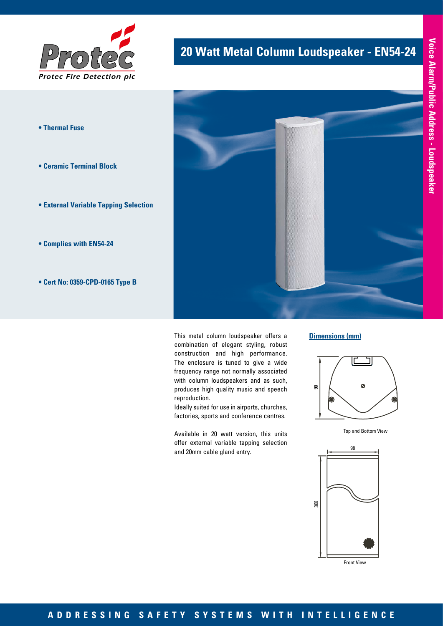

- **Thermal Fuse**
- **Ceramic Terminal Block**
- **External Variable Tapping Selection**
- **Complies with EN54-24**
- **Cert No: 0359-CPD-0165 Type B**

# **20 Watt Metal Column Loudspeaker - EN54-24**



This metal column loudspeaker offers a combination of elegant styling, robust construction and high performance. The enclosure is tuned to give a wide frequency range not normally associated with column loudspeakers and as such, produces high quality music and speech reproduction.

Ideally suited for use in airports, churches, factories, sports and conference centres.

Available in 20 watt version, this units offer external variable tapping selection and 20mm cable gland entry.



#### **Dimensions (mm)**



Top and Bottom View